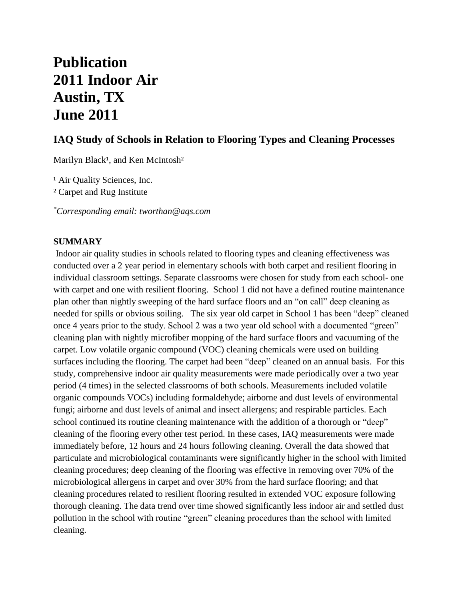# **Publication 2011 Indoor Air Austin, TX June 2011**

# **IAQ Study of Schools in Relation to Flooring Types and Cleaning Processes**

Marilyn Black<sup>1</sup>, and Ken McIntosh<sup>2</sup>

<sup>1</sup> Air Quality Sciences, Inc. ² Carpet and Rug Institute

*\*Corresponding email: tworthan@aqs.com*

#### **SUMMARY**

Indoor air quality studies in schools related to flooring types and cleaning effectiveness was conducted over a 2 year period in elementary schools with both carpet and resilient flooring in individual classroom settings. Separate classrooms were chosen for study from each school- one with carpet and one with resilient flooring. School 1 did not have a defined routine maintenance plan other than nightly sweeping of the hard surface floors and an "on call" deep cleaning as needed for spills or obvious soiling. The six year old carpet in School 1 has been "deep" cleaned once 4 years prior to the study. School 2 was a two year old school with a documented "green" cleaning plan with nightly microfiber mopping of the hard surface floors and vacuuming of the carpet. Low volatile organic compound (VOC) cleaning chemicals were used on building surfaces including the flooring. The carpet had been "deep" cleaned on an annual basis. For this study, comprehensive indoor air quality measurements were made periodically over a two year period (4 times) in the selected classrooms of both schools. Measurements included volatile organic compounds VOCs) including formaldehyde; airborne and dust levels of environmental fungi; airborne and dust levels of animal and insect allergens; and respirable particles. Each school continued its routine cleaning maintenance with the addition of a thorough or "deep" cleaning of the flooring every other test period. In these cases, IAQ measurements were made immediately before, 12 hours and 24 hours following cleaning. Overall the data showed that particulate and microbiological contaminants were significantly higher in the school with limited cleaning procedures; deep cleaning of the flooring was effective in removing over 70% of the microbiological allergens in carpet and over 30% from the hard surface flooring; and that cleaning procedures related to resilient flooring resulted in extended VOC exposure following thorough cleaning. The data trend over time showed significantly less indoor air and settled dust pollution in the school with routine "green" cleaning procedures than the school with limited cleaning.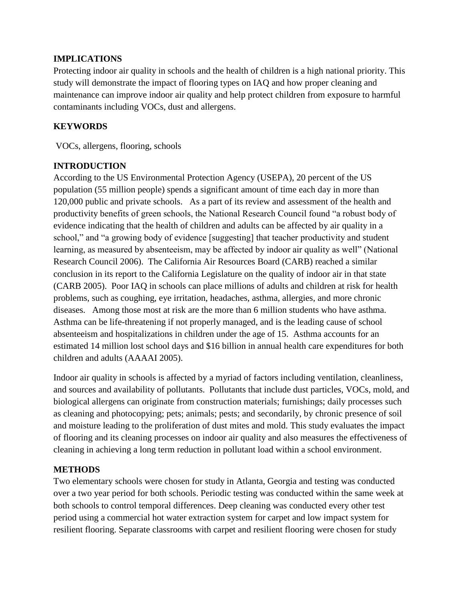#### **IMPLICATIONS**

Protecting indoor air quality in schools and the health of children is a high national priority. This study will demonstrate the impact of flooring types on IAQ and how proper cleaning and maintenance can improve indoor air quality and help protect children from exposure to harmful contaminants including VOCs, dust and allergens.

# **KEYWORDS**

VOCs, allergens, flooring, schools

## **INTRODUCTION**

According to the US Environmental Protection Agency (USEPA), 20 percent of the US population (55 million people) spends a significant amount of time each day in more than 120,000 public and private schools. As a part of its review and assessment of the health and productivity benefits of green schools, the National Research Council found "a robust body of evidence indicating that the health of children and adults can be affected by air quality in a school," and "a growing body of evidence [suggesting] that teacher productivity and student learning, as measured by absenteeism, may be affected by indoor air quality as well" (National Research Council 2006). The California Air Resources Board (CARB) reached a similar conclusion in its report to the California Legislature on the quality of indoor air in that state (CARB 2005). Poor IAQ in schools can place millions of adults and children at risk for health problems, such as coughing, eye irritation, headaches, asthma, allergies, and more chronic diseases. Among those most at risk are the more than 6 million students who have asthma. Asthma can be life-threatening if not properly managed, and is the leading cause of school absenteeism and hospitalizations in children under the age of 15. Asthma accounts for an estimated 14 million lost school days and \$16 billion in annual health care expenditures for both children and adults (AAAAI 2005).

Indoor air quality in schools is affected by a myriad of factors including ventilation, cleanliness, and sources and availability of pollutants. Pollutants that include dust particles, VOCs, mold, and biological allergens can originate from construction materials; furnishings; daily processes such as cleaning and photocopying; pets; animals; pests; and secondarily, by chronic presence of soil and moisture leading to the proliferation of dust mites and mold. This study evaluates the impact of flooring and its cleaning processes on indoor air quality and also measures the effectiveness of cleaning in achieving a long term reduction in pollutant load within a school environment.

## **METHODS**

Two elementary schools were chosen for study in Atlanta, Georgia and testing was conducted over a two year period for both schools. Periodic testing was conducted within the same week at both schools to control temporal differences. Deep cleaning was conducted every other test period using a commercial hot water extraction system for carpet and low impact system for resilient flooring. Separate classrooms with carpet and resilient flooring were chosen for study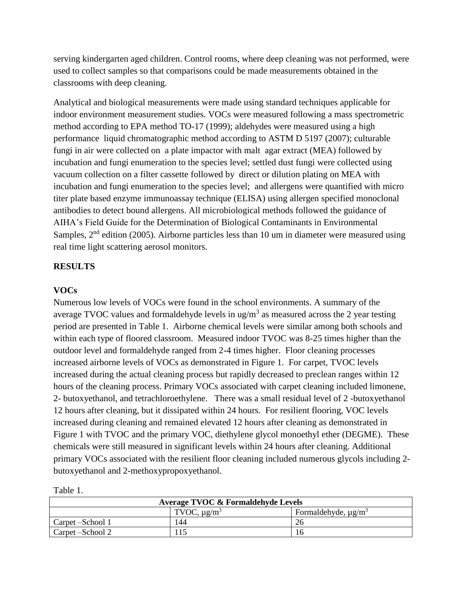serving kindergarten aged children. Control rooms, where deep cleaning was not performed, were used to collect samples so that comparisons could be made measurements obtained in the classrooms with deep cleaning.

Analytical and biological measurements were made using standard techniques applicable for indoor environment measurement studies. VOCs were measured following a mass spectrometric method according to EPA method TO-17 (1999); aldehydes were measured using a high performance liquid chromatographic method according to ASTM D 5197 (2007); culturable fungi in air were collected on a plate impactor with malt agar extract (MEA) followed by incubation and fungi enumeration to the species level; settled dust fungi were collected using vacuum collection on a filter cassette followed by direct or dilution plating on MEA with incubation and fungi enumeration to the species level; and allergens were quantified with micro titer plate based enzyme immunoassay technique (ELISA) using allergen specified monoclonal antibodies to detect bound allergens. All microbiological methods followed the guidance of AIHA's Field Guide for the Determination of Biological Contaminants in Environmental Samples,  $2<sup>nd</sup>$  edition (2005). Airborne particles less than 10 um in diameter were measured using real time light scattering aerosol monitors.

#### **RESULTS**

#### **VOCs**

Numerous low levels of VOCs were found in the school environments. A summary of the average TVOC values and formaldehyde levels in ug/m<sup>3</sup> as measured across the 2 year testing period are presented in Table 1. Airborne chemical levels were similar among both schools and within each type of floored classroom. Measured indoor TVOC was 8-25 times higher than the outdoor level and formaldehyde ranged from 2-4 times higher. Floor cleaning processes increased airborne levels of VOCs as demonstrated in Figure 1. For carpet, TVOC levels increased during the actual cleaning process but rapidly decreased to preclean ranges within 12 hours of the cleaning process. Primary VOCs associated with carpet cleaning included limonene, 2- butoxyethanol, and tetrachloroethylene. There was a small residual level of 2 -butoxyethanol 12 hours after cleaning, but it dissipated within 24 hours. For resilient flooring, VOC levels increased during cleaning and remained elevated 12 hours after cleaning as demonstrated in Figure 1 with TVOC and the primary VOC, diethylene glycol monoethyl ether (DEGME). These chemicals were still measured in significant levels within 24 hours after cleaning. Additional primary VOCs associated with the resilient floor cleaning included numerous glycols including 2 butoxyethanol and 2-methoxypropoxyethanol.

| Average TVOC & Formaldehyde Levels |                              |                                      |  |
|------------------------------------|------------------------------|--------------------------------------|--|
|                                    | TVOC, $\mu$ g/m <sup>3</sup> | Formaldehyde, $\mu$ g/m <sup>3</sup> |  |
| Carpet – School 1                  | 44                           |                                      |  |
| Carpet – School 2                  |                              |                                      |  |

Table 1.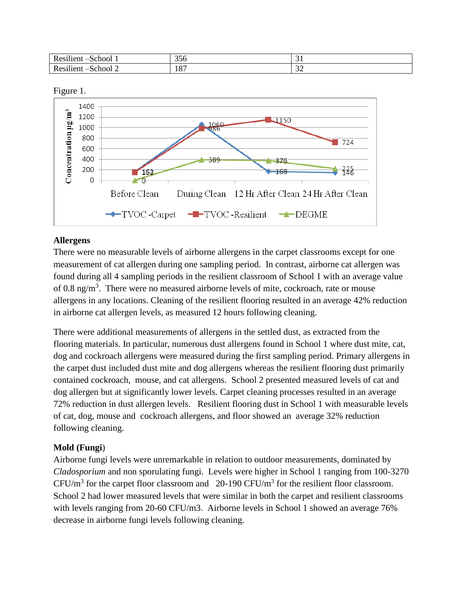| $\cdots$<br>Ð<br>$\sim$ $\sim$<br>.<br>л<br>. .<br>$-$ | $\sim$ $\sim$<br>0 C C | ັ້<br>$\sim$        |
|--------------------------------------------------------|------------------------|---------------------|
| $\cdots$<br>$\sim$ $\sim$<br>                          | 107<br>10              | $\sim$<br>ے ب<br>__ |



#### **Allergens**

There were no measurable levels of airborne allergens in the carpet classrooms except for one measurement of cat allergen during one sampling period. In contrast, airborne cat allergen was found during all 4 sampling periods in the resilient classroom of School 1 with an average value of 0.8 ng/ $m<sup>3</sup>$ . There were no measured airborne levels of mite, cockroach, rate or mouse allergens in any locations. Cleaning of the resilient flooring resulted in an average 42% reduction in airborne cat allergen levels, as measured 12 hours following cleaning.

There were additional measurements of allergens in the settled dust, as extracted from the flooring materials. In particular, numerous dust allergens found in School 1 where dust mite, cat, dog and cockroach allergens were measured during the first sampling period. Primary allergens in the carpet dust included dust mite and dog allergens whereas the resilient flooring dust primarily contained cockroach, mouse, and cat allergens. School 2 presented measured levels of cat and dog allergen but at significantly lower levels. Carpet cleaning processes resulted in an average 72% reduction in dust allergen levels. Resilient flooring dust in School 1 with measurable levels of cat, dog, mouse and cockroach allergens, and floor showed an average 32% reduction following cleaning.

## **Mold (Fungi**)

Airborne fungi levels were unremarkable in relation to outdoor measurements, dominated by *Cladosporium* and non sporulating fungi. Levels were higher in School 1 ranging from 100-3270 CFU/m<sup>3</sup> for the carpet floor classroom and 20-190 CFU/m<sup>3</sup> for the resilient floor classroom. School 2 had lower measured levels that were similar in both the carpet and resilient classrooms with levels ranging from 20-60 CFU/m3. Airborne levels in School 1 showed an average 76% decrease in airborne fungi levels following cleaning.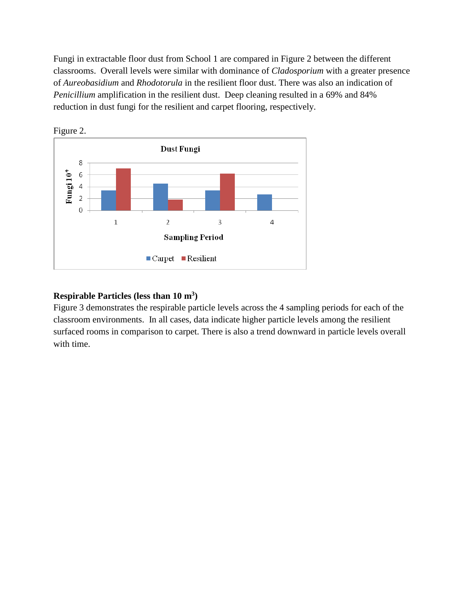Fungi in extractable floor dust from School 1 are compared in Figure 2 between the different classrooms. Overall levels were similar with dominance of *Cladosporium* with a greater presence of *Aureobasidium* and *Rhodotorula* in the resilient floor dust. There was also an indication of *Penicillium* amplification in the resilient dust. Deep cleaning resulted in a 69% and 84% reduction in dust fungi for the resilient and carpet flooring, respectively.





# **Respirable Particles (less than 10 m<sup>3</sup> )**

Figure 3 demonstrates the respirable particle levels across the 4 sampling periods for each of the classroom environments. In all cases, data indicate higher particle levels among the resilient surfaced rooms in comparison to carpet. There is also a trend downward in particle levels overall with time.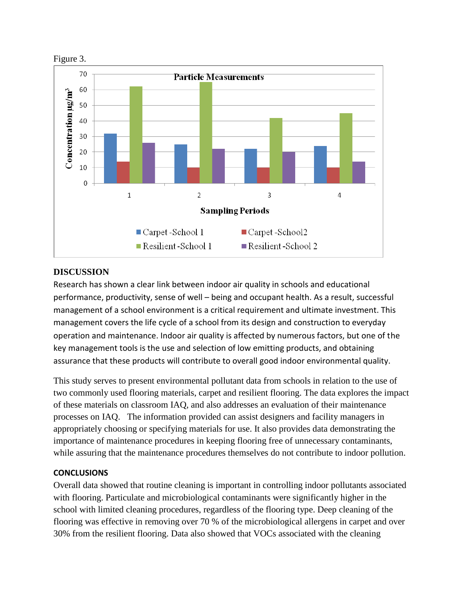

#### **DISCUSSION**

Research has shown a clear link between indoor air quality in schools and educational performance, productivity, sense of well – being and occupant health. As a result, successful management of a school environment is a critical requirement and ultimate investment. This management covers the life cycle of a school from its design and construction to everyday operation and maintenance. Indoor air quality is affected by numerous factors, but one of the key management tools is the use and selection of low emitting products, and obtaining assurance that these products will contribute to overall good indoor environmental quality.

This study serves to present environmental pollutant data from schools in relation to the use of two commonly used flooring materials, carpet and resilient flooring. The data explores the impact of these materials on classroom IAQ, and also addresses an evaluation of their maintenance processes on IAQ. The information provided can assist designers and facility managers in appropriately choosing or specifying materials for use. It also provides data demonstrating the importance of maintenance procedures in keeping flooring free of unnecessary contaminants, while assuring that the maintenance procedures themselves do not contribute to indoor pollution.

#### **CONCLUSIONS**

Overall data showed that routine cleaning is important in controlling indoor pollutants associated with flooring. Particulate and microbiological contaminants were significantly higher in the school with limited cleaning procedures, regardless of the flooring type. Deep cleaning of the flooring was effective in removing over 70 % of the microbiological allergens in carpet and over 30% from the resilient flooring. Data also showed that VOCs associated with the cleaning